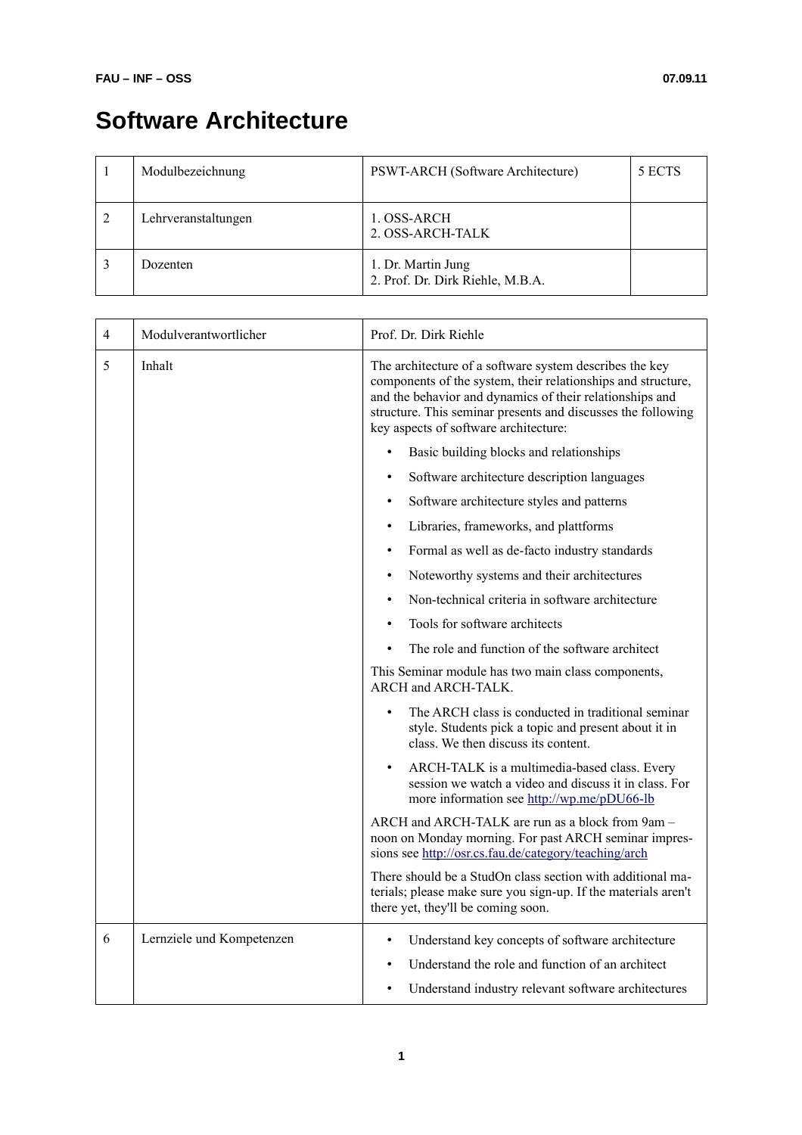## **Software Architecture**

| Modulbezeichnung    | PSWT-ARCH (Software Architecture)                      | 5 ECTS |
|---------------------|--------------------------------------------------------|--------|
| Lehrveranstaltungen | 1. OSS-ARCH<br>2. OSS-ARCH-TALK                        |        |
| Dozenten            | 1. Dr. Martin Jung<br>2. Prof. Dr. Dirk Riehle, M.B.A. |        |

| 4 | Modulverantwortlicher     | Prof. Dr. Dirk Riehle                                                                                                                                                                                                                                                                        |  |
|---|---------------------------|----------------------------------------------------------------------------------------------------------------------------------------------------------------------------------------------------------------------------------------------------------------------------------------------|--|
| 5 | Inhalt                    | The architecture of a software system describes the key<br>components of the system, their relationships and structure,<br>and the behavior and dynamics of their relationships and<br>structure. This seminar presents and discusses the following<br>key aspects of software architecture: |  |
|   |                           | Basic building blocks and relationships<br>$\bullet$                                                                                                                                                                                                                                         |  |
|   |                           | Software architecture description languages                                                                                                                                                                                                                                                  |  |
|   |                           | Software architecture styles and patterns<br>$\bullet$                                                                                                                                                                                                                                       |  |
|   |                           | Libraries, frameworks, and plattforms<br>$\bullet$                                                                                                                                                                                                                                           |  |
|   |                           | Formal as well as de-facto industry standards<br>$\bullet$                                                                                                                                                                                                                                   |  |
|   |                           | Noteworthy systems and their architectures<br>$\bullet$                                                                                                                                                                                                                                      |  |
|   |                           | Non-technical criteria in software architecture                                                                                                                                                                                                                                              |  |
|   |                           | Tools for software architects                                                                                                                                                                                                                                                                |  |
|   |                           | The role and function of the software architect                                                                                                                                                                                                                                              |  |
|   |                           | This Seminar module has two main class components,<br>ARCH and ARCH-TALK.                                                                                                                                                                                                                    |  |
|   |                           | The ARCH class is conducted in traditional seminar<br>$\bullet$<br>style. Students pick a topic and present about it in<br>class. We then discuss its content.                                                                                                                               |  |
|   |                           | ARCH-TALK is a multimedia-based class. Every<br>session we watch a video and discuss it in class. For<br>more information see http://wp.me/pDU66-lb                                                                                                                                          |  |
|   |                           | ARCH and ARCH-TALK are run as a block from 9am -<br>noon on Monday morning. For past ARCH seminar impres-<br>sions see http://osr.cs.fau.de/category/teaching/arch                                                                                                                           |  |
|   |                           | There should be a StudOn class section with additional ma-<br>terials; please make sure you sign-up. If the materials aren't<br>there yet, they'll be coming soon.                                                                                                                           |  |
| 6 | Lernziele und Kompetenzen | Understand key concepts of software architecture<br>$\bullet$                                                                                                                                                                                                                                |  |
|   |                           | Understand the role and function of an architect                                                                                                                                                                                                                                             |  |
|   |                           | Understand industry relevant software architectures                                                                                                                                                                                                                                          |  |